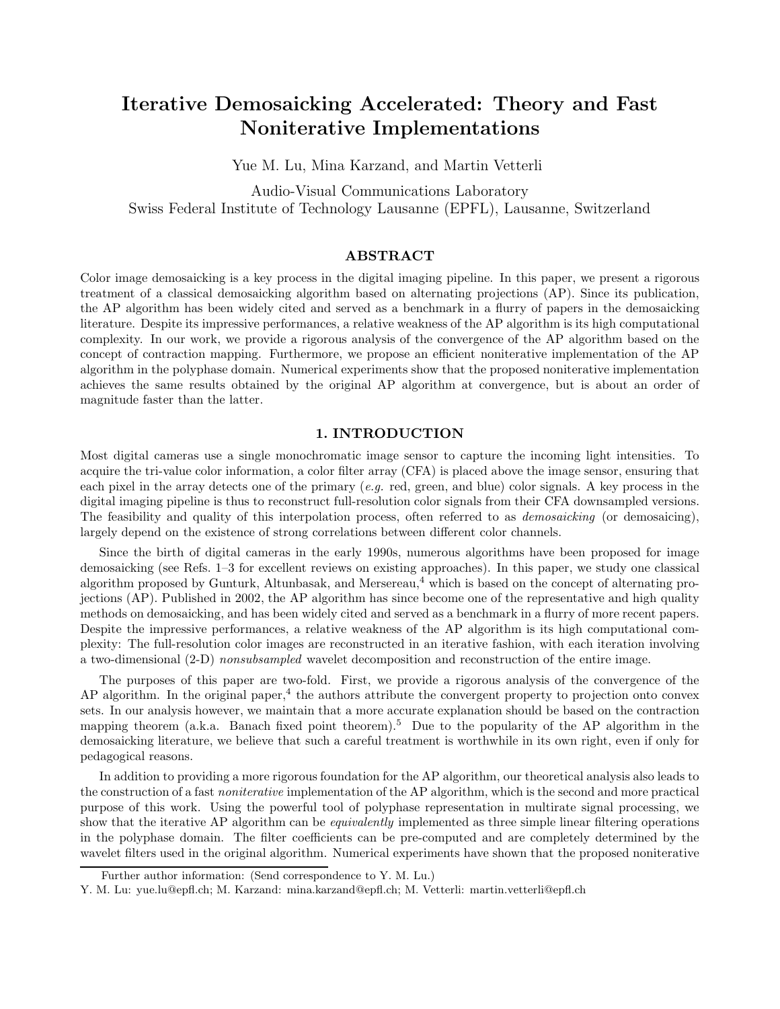# Iterative Demosaicking Accelerated: Theory and Fast Noniterative Implementations

Yue M. Lu, Mina Karzand, and Martin Vetterli

Audio-Visual Communications Laboratory Swiss Federal Institute of Technology Lausanne (EPFL), Lausanne, Switzerland

#### ${\rm ABSTRACT}$

Color image demosaicking is a key process in the digital imaging pipeline. In this paper, we present a rigorous treatment of a classical demosaicking algorithm based on alternating projections (AP). Since its publication, the AP algorithm has been widely cited and served as a benchmark in a flurry of papers in the demosaicking literature. Despite its impressive performances, a relative weakness of the AP algorithm is its high computational complexity. In our work, we provide a rigorous analysis of the convergence of the AP algorithm based on the concept of contraction mapping. Furthermore, we propose an efficient noniterative implementation of the AP algorithm in the polyphase domain. Numerical experiments show that the proposed noniterative implementation achieves the same results obtained by the original AP algorithm at convergence, but is about an order of magnitude faster than the latter.

## 1. INTRODUCTION

Most digital cameras use a single monochromatic image sensor to capture the incoming light intensities. To acquire the tri-value color information, a color filter array (CFA) is placed above the image sensor, ensuring that each pixel in the array detects one of the primary (*e.g.* red, green, and blue) color signals. A key process in the digital imaging pipeline is thus to reconstruct full-resolution color signals from their CFA downsampled versions. The feasibility and quality of this interpolation process, often referred to as *demosaicking* (or demosaicing), largely depend on the existence of strong correlations between different color channels.

Since the birth of digital cameras in the early 1990s, numerous algorithms have been proposed for image demosaicking (see Refs. 1–3 for excellent reviews on existing approaches). In this paper, we study one classical algorithm proposed by Gunturk, Altunbasak, and Mersereau,<sup>4</sup> which is based on the concept of alternating projections (AP). Published in 2002, the AP algorithm has since become one of the representative and high quality methods on demosaicking, and has been widely cited and served as a benchmark in a flurry of more recent papers. Despite the impressive performances, a relative weakness of the AP algorithm is its high computational complexity: The full-resolution color images are reconstructed in an iterative fashion, with each iteration involving a two-dimensional (2-D) *nonsubsampled* wavelet decomposition and reconstruction of the entire image.

The purposes of this paper are two-fold. First, we provide a rigorous analysis of the convergence of the AP algorithm. In the original paper,<sup>4</sup> the authors attribute the convergent property to projection onto convex sets. In our analysis however, we maintain that a more accurate explanation should be based on the contraction mapping theorem (a.k.a. Banach fixed point theorem).<sup>5</sup> Due to the popularity of the AP algorithm in the demosaicking literature, we believe that such a careful treatment is worthwhile in its own right, even if only for pedagogical reasons.

In addition to providing a more rigorous foundation for the AP algorithm, our theoretical analysis also leads to the construction of a fast *noniterative* implementation of the AP algorithm, which is the second and more practical purpose of this work. Using the powerful tool of polyphase representation in multirate signal processing, we show that the iterative AP algorithm can be *equivalently* implemented as three simple linear filtering operations in the polyphase domain. The filter coefficients can be pre-computed and are completely determined by the wavelet filters used in the original algorithm. Numerical experiments have shown that the proposed noniterative

Further author information: (Send correspondence to Y. M. Lu.)

Y. M. Lu: yue.lu@epfl.ch; M. Karzand: mina.karzand@epfl.ch; M. Vetterli: martin.vetterli@epfl.ch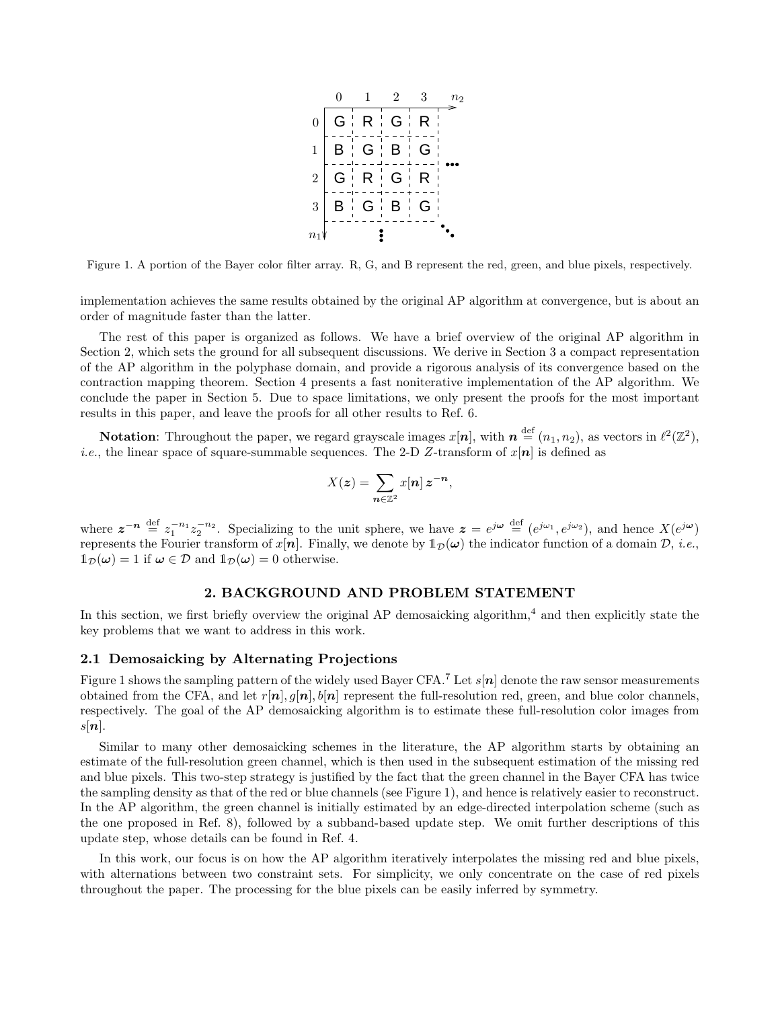

Figure 1. A portion of the Bayer color filter array. R, G, and B represent the red, green, and blue pixels, respectively.

implementation achieves the same results obtained by the original AP algorithm at convergence, but is about an order of magnitude faster than the latter.

The rest of this paper is organized as follows. We have a brief overview of the original AP algorithm in Section 2, which sets the ground for all subsequent discussions. We derive in Section 3 a compact representation of the AP algorithm in the polyphase domain, and provide a rigorous analysis of its convergence based on the contraction mapping theorem. Section 4 presents a fast noniterative implementation of the AP algorithm. We conclude the paper in Section 5. Due to space limitations, we only present the proofs for the most important results in this paper, and leave the proofs for all other results to Ref. 6.

Notation: Throughout the paper, we regard grayscale images  $x[n]$ , with  $n \stackrel{\text{def}}{=} (n_1, n_2)$ , as vectors in  $\ell^2(\mathbb{Z}^2)$ , *i.e.*, the linear space of square-summable sequences. The 2-D Z-transform of  $x[n]$  is defined as

$$
X(\boldsymbol{z}) = \sum_{\boldsymbol{n}\in\mathbb{Z}^2} x[\boldsymbol{n}] \, \boldsymbol{z}^{-\boldsymbol{n}},
$$

where  $z^{-n} \stackrel{\text{def}}{=} z_1^{-n_1} z_2^{-n_2}$ . Specializing to the unit sphere, we have  $z = e^{j\omega} \stackrel{\text{def}}{=} (e^{j\omega_1}, e^{j\omega_2})$ , and hence  $X(e^{j\omega})$ represents the Fourier transform of  $x[n]$ . Finally, we denote by  $\mathbb{1}_{\mathcal{D}}(\omega)$  the indicator function of a domain  $\mathcal{D}$ , *i.e.*,  $1_{\mathcal{D}}(\omega) = 1$  if  $\omega \in \mathcal{D}$  and  $1_{\mathcal{D}}(\omega) = 0$  otherwise.

### 2. BACKGROUND AND PROBLEM STATEMENT

In this section, we first briefly overview the original AP demosaicking algorithm,<sup>4</sup> and then explicitly state the key problems that we want to address in this work.

#### 2.1 Demosaicking by Alternating Projections

Figure 1 shows the sampling pattern of the widely used Bayer CFA.<sup>7</sup> Let  $s[n]$  denote the raw sensor measurements obtained from the CFA, and let  $r[n], q[n], b[n]$  represent the full-resolution red, green, and blue color channels, respectively. The goal of the AP demosaicking algorithm is to estimate these full-resolution color images from  $s[n]$ .

Similar to many other demosaicking schemes in the literature, the AP algorithm starts by obtaining an estimate of the full-resolution green channel, which is then used in the subsequent estimation of the missing red and blue pixels. This two-step strategy is justified by the fact that the green channel in the Bayer CFA has twice the sampling density as that of the red or blue channels (see Figure 1), and hence is relatively easier to reconstruct. In the AP algorithm, the green channel is initially estimated by an edge-directed interpolation scheme (such as the one proposed in Ref. 8), followed by a subband-based update step. We omit further descriptions of this update step, whose details can be found in Ref. 4.

In this work, our focus is on how the AP algorithm iteratively interpolates the missing red and blue pixels, with alternations between two constraint sets. For simplicity, we only concentrate on the case of red pixels throughout the paper. The processing for the blue pixels can be easily inferred by symmetry.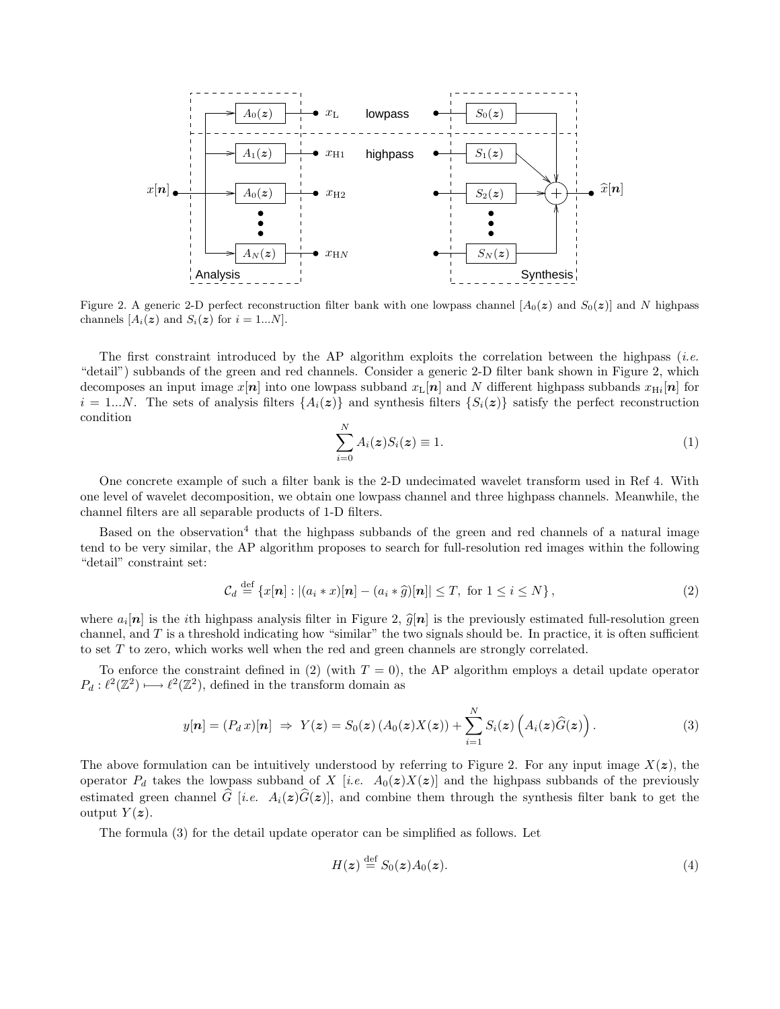

Figure 2. A generic 2-D perfect reconstruction filter bank with one lowpass channel  $[A_0(z)]$  and  $S_0(z)]$  and N highpass channels  $[A_i(z)]$  and  $S_i(z)]$  for  $i = 1...N$ .

The first constraint introduced by the AP algorithm exploits the correlation between the highpass (*i.e.* "detail") subbands of the green and red channels. Consider a generic 2-D filter bank shown in Figure 2, which decomposes an input image  $x[n]$  into one lowpass subband  $x_L[n]$  and N different highpass subbands  $x_{Hi}[n]$  for  $i = 1...N$ . The sets of analysis filters  $\{A_i(z)\}\$ and synthesis filters  $\{S_i(z)\}\$  satisfy the perfect reconstruction condition

$$
\sum_{i=0}^{N} A_i(z) S_i(z) \equiv 1.
$$
\n(1)

One concrete example of such a filter bank is the 2-D undecimated wavelet transform used in Ref 4. With one level of wavelet decomposition, we obtain one lowpass channel and three highpass channels. Meanwhile, the channel filters are all separable products of 1-D filters.

Based on the observation<sup>4</sup> that the highpass subbands of the green and red channels of a natural image tend to be very similar, the AP algorithm proposes to search for full-resolution red images within the following "detail" constraint set:

$$
\mathcal{C}_d \stackrel{\text{def}}{=} \{x[\boldsymbol{n}] : |(a_i * x)[\boldsymbol{n}] - (a_i * \widehat{g})[\boldsymbol{n}]| \leq T, \text{ for } 1 \leq i \leq N\},\tag{2}
$$

where  $a_i[n]$  is the *i*th highpass analysis filter in Figure 2,  $\hat{g}[n]$  is the previously estimated full-resolution green<br>channel and  $T$  is a thus half indication have "indica" the two simples hard has In mostics it is channel, and  $T$  is a threshold indicating how "similar" the two signals should be. In practice, it is often sufficient to set T to zero, which works well when the red and green channels are strongly correlated.

To enforce the constraint defined in (2) (with  $T = 0$ ), the AP algorithm employs a detail update operator  $P_d: \ell^2(\mathbb{Z}^2) \longrightarrow \ell^2(\mathbb{Z}^2)$ , defined in the transform domain as

$$
y[\boldsymbol{n}] = (P_d x)[\boldsymbol{n}] \Rightarrow Y(\boldsymbol{z}) = S_0(\boldsymbol{z}) \left( A_0(\boldsymbol{z}) X(\boldsymbol{z}) \right) + \sum_{i=1}^N S_i(\boldsymbol{z}) \left( A_i(\boldsymbol{z}) \widehat{G}(\boldsymbol{z}) \right). \tag{3}
$$

The above formulation can be intuitively understood by referring to Figure 2. For any input image  $X(z)$ , the operator  $P_d$  takes the lowpass subband of X [*i.e.*  $A_0(z)X(z)$ ] and the highpass subbands of the previously estimated green channel  $\hat{G}$  [*i.e.*  $A_i(z)\hat{G}(z)$ ], and combine them through the synthesis filter bank to get the output  $Y(z)$ .

The formula (3) for the detail update operator can be simplified as follows. Let

$$
H(z) \stackrel{\text{def}}{=} S_0(z)A_0(z). \tag{4}
$$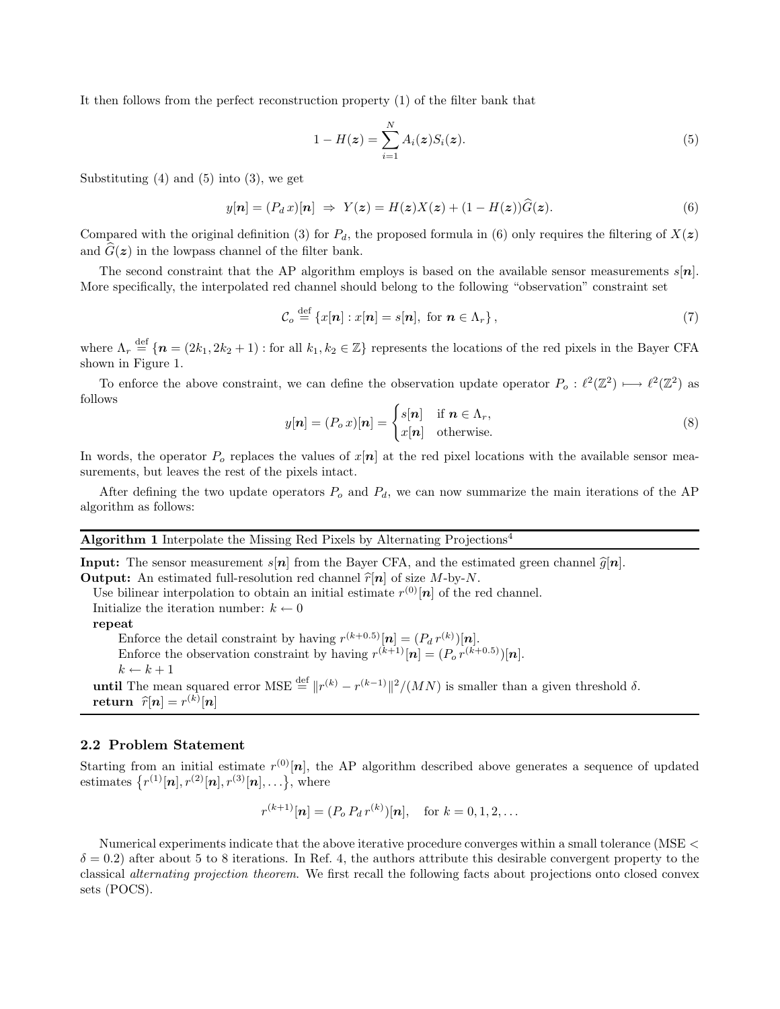It then follows from the perfect reconstruction property (1) of the filter bank that

$$
1 - H(z) = \sum_{i=1}^{N} A_i(z) S_i(z).
$$
 (5)

Substituting  $(4)$  and  $(5)$  into  $(3)$ , we get

$$
y[n] = (P_d x)[n] \Rightarrow Y(z) = H(z)X(z) + (1 - H(z))\widehat{G}(z). \tag{6}
$$

Compared with the original definition (3) for  $P_d$ , the proposed formula in (6) only requires the filtering of  $X(z)$ and  $\hat{G}(z)$  in the lowpass channel of the filter bank.

The second constraint that the AP algorithm employs is based on the available sensor measurements  $s[n]$ . More specifically, the interpolated red channel should belong to the following "observation" constraint set

$$
\mathcal{C}_o \stackrel{\text{def}}{=} \{x[\boldsymbol{n}] : x[\boldsymbol{n}] = s[\boldsymbol{n}], \text{ for } \boldsymbol{n} \in \Lambda_r \},\tag{7}
$$

where  $\Lambda_r \stackrel{\text{def}}{=} \{n = (2k_1, 2k_2 + 1) : \text{for all } k_1, k_2 \in \mathbb{Z}\}$  represents the locations of the red pixels in the Bayer CFA shown in Figure 1.

To enforce the above constraint, we can define the observation update operator  $P_o: \ell^2(\mathbb{Z}^2) \longrightarrow \ell^2(\mathbb{Z}^2)$  as follows

$$
y[n] = (P_o \, x)[n] = \begin{cases} s[n] & \text{if } n \in \Lambda_r, \\ x[n] & \text{otherwise.} \end{cases} \tag{8}
$$

In words, the operator  $P_o$  replaces the values of  $x[n]$  at the red pixel locations with the available sensor measurements, but leaves the rest of the pixels intact.

After defining the two update operators  $P_o$  and  $P_d$ , we can now summarize the main iterations of the AP algorithm as follows:

#### Algorithm 1 Interpolate the Missing Red Pixels by Alternating Projections<sup>4</sup>

**Input:** The sensor measurement  $s[n]$  from the Bayer CFA, and the estimated green channel  $\hat{g}[n]$ . **Output:** An estimated full-resolution red channel  $\hat{r}[n]$  of size M-by-N.

Use bilinear interpolation to obtain an initial estimate  $r^{(0)}[n]$  of the red channel.

Initialize the iteration number:  $k \leftarrow 0$ 

repeat

Enforce the detail constraint by having  $r^{(k+0.5)}[n] = (P_d r^{(k)})[n]$ . Enforce the observation constraint by having  $r^{(k+1)}[n] = (P_o r^{(k+0.5)})[n]$ .  $k \leftarrow k + 1$ 

**until** The mean squared error MSE  $\stackrel{\text{def}}{=} ||r^{(k)} - r^{(k-1)}||^2 / (MN)$  is smaller than a given threshold  $\delta$ . return  $\widehat{r}[n] = r^{(k)}[n]$ 

#### 2.2 Problem Statement

Starting from an initial estimate  $r^{(0)}[\boldsymbol{n}]$ , the AP algorithm described above generates a sequence of updated estimates  $\{r^{(1)}[n], r^{(2)}[n], r^{(3)}[n], \ldots\},\$  where

$$
r^{(k+1)}[n] = (P_o P_d r^{(k)})[n], \text{ for } k = 0, 1, 2, ...
$$

Numerical experiments indicate that the above iterative procedure converges within a small tolerance (MSE <  $\delta = 0.2$ ) after about 5 to 8 iterations. In Ref. 4, the authors attribute this desirable convergent property to the classical *alternating projection theorem*. We first recall the following facts about projections onto closed convex sets (POCS).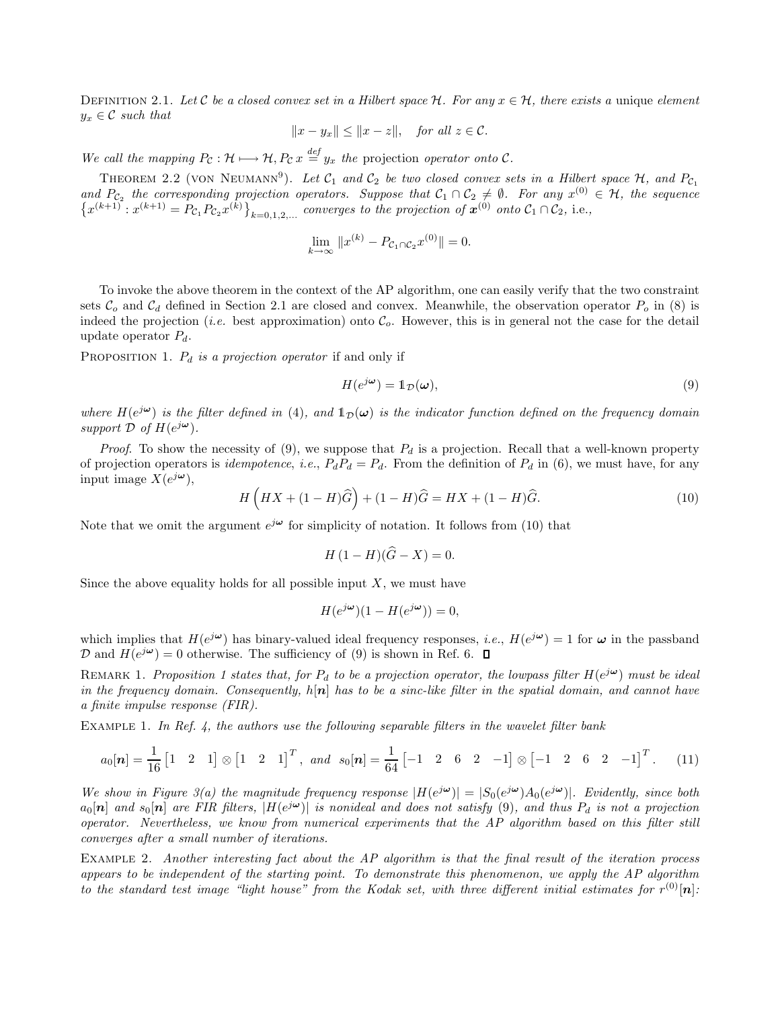DEFINITION 2.1. Let C be a closed convex set in a Hilbert space  $H$ . For any  $x \in \mathcal{H}$ , there exists a unique element  $y_x \in \mathcal{C}$  *such that* 

$$
||x - y_x|| \le ||x - z||, \quad for all z \in C.
$$

*We call the mapping*  $P_c : \mathcal{H} \longmapsto \mathcal{H}, P_c x \stackrel{def}{=} y_x$  *the* projection *operator onto* C.

THEOREM 2.2 (VON NEUMANN<sup>9</sup>). Let  $\mathcal{C}_1$  and  $\mathcal{C}_2$  be two closed convex sets in a Hilbert space  $\mathcal{H}$ , and  $P_{\mathcal{C}_1}$ and  $P_{\mathcal{C}_2}$  the corresponding projection operators. Suppose that  $\mathcal{C}_1 \cap \mathcal{C}_2 \neq \emptyset$ . For any  $x^{(0)} \in \mathcal{H}$ , the sequence  $\{x^{(k+1)} : x^{(k+1)} = \overline{P}_{\mathcal{C}_1} P_{\mathcal{C}_2} x^{(k)}\}_{k=0,1,2,...}$  *converges to the projection of*  $x^{(0)}$  *onto*  $\mathcal{C}_1 \cap \mathcal{C}_2$ , i.e.,

$$
\lim_{k \to \infty} \|x^{(k)} - P_{\mathcal{C}_1 \cap \mathcal{C}_2} x^{(0)}\| = 0.
$$

To invoke the above theorem in the context of the AP algorithm, one can easily verify that the two constraint sets  $\mathcal{C}_o$  and  $\mathcal{C}_d$  defined in Section 2.1 are closed and convex. Meanwhile, the observation operator  $P_o$  in (8) is indeed the projection (*i.e.* best approximation) onto  $\mathcal{C}_o$ . However, this is in general not the case for the detail update operator  $P_d$ .

PROPOSITION 1.  $P_d$  *is a projection operator* if and only if

$$
H(e^{j\boldsymbol{\omega}}) = \mathbb{1}_{\mathcal{D}}(\boldsymbol{\omega}),\tag{9}
$$

where  $H(e^{j\omega})$  is the filter defined in (4), and  $1_{\mathcal{D}}(\omega)$  is the indicator function defined on the frequency domain support  $\hat{\mathcal{D}}$  of  $H(e^{j\boldsymbol{\omega}})$ .

*Proof.* To show the necessity of (9), we suppose that  $P_d$  is a projection. Recall that a well-known property of projection operators is *idempotence*, *i.e.*,  $P_dP_d = P_d$ . From the definition of  $P_d$  in (6), we must have, for any input image  $\overline{X}(e^{j\boldsymbol{\omega}}),$ 

$$
H\left(HX + (1 - H)\widehat{G}\right) + (1 - H)\widehat{G} = HX + (1 - H)\widehat{G}.
$$
\n(10)

Note that we omit the argument  $e^{j\boldsymbol{\omega}}$  for simplicity of notation. It follows from (10) that

$$
H(1 - H)(\widehat{G} - X) = 0.
$$

Since the above equality holds for all possible input  $X$ , we must have

$$
H(e^{j\boldsymbol{\omega}})(1 - H(e^{j\boldsymbol{\omega}})) = 0,
$$

which implies that  $H(e^{j\omega})$  has binary-valued ideal frequency responses, *i.e.*,  $H(e^{j\omega}) = 1$  for  $\omega$  in the passband D and  $H(e^{j\omega}) = 0$  otherwise. The sufficiency of (9) is shown in Ref. 6.

REMARK 1. *Proposition 1 states that, for*  $P_d$  *to be a projection operator, the lowpass filter*  $H(e^{j\omega})$  *must be ideal in the frequency domain. Consequently,* h[n] *has to be a sinc-like filter in the spatial domain, and cannot have a finite impulse response (FIR).*

Example 1. *In Ref. 4, the authors use the following separable filters in the wavelet filter bank*

$$
a_0[\boldsymbol{n}] = \frac{1}{16} \begin{bmatrix} 1 & 2 & 1 \end{bmatrix} \otimes \begin{bmatrix} 1 & 2 & 1 \end{bmatrix}^T, \text{ and } s_0[\boldsymbol{n}] = \frac{1}{64} \begin{bmatrix} -1 & 2 & 6 & 2 & -1 \end{bmatrix} \otimes \begin{bmatrix} -1 & 2 & 6 & 2 & -1 \end{bmatrix}^T.
$$
 (11)

We show in Figure 3(a) the magnitude frequency response  $|H(e^{j\omega})| = |S_0(e^{j\omega})A_0(e^{j\omega})|$ . Evidently, since both  $a_0[n]$  and  $s_0[n]$  are FIR filters,  $|H(e^{j\omega})|$  is nonideal and does not satisfy (9), and thus  $P_d$  is not a projection *operator. Nevertheless, we know from numerical experiments that the AP algorithm based on this filter still converges after a small number of iterations.*

Example 2. *Another interesting fact about the AP algorithm is that the final result of the iteration process appears to be independent of the starting point. To demonstrate this phenomenon, we apply the AP algorithm to the standard test image "light house" from the Kodak set, with three different initial estimates for*  $r^{(0)}[\boldsymbol{n}]$ :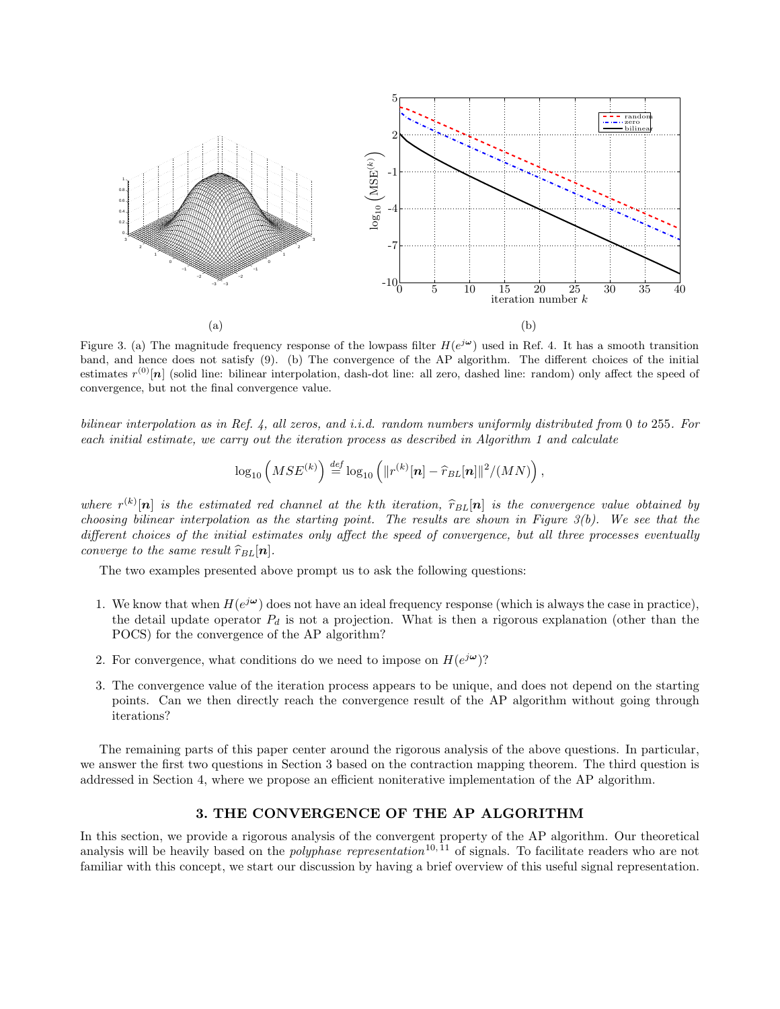

Figure 3. (a) The magnitude frequency response of the lowpass filter  $H(e^{j\omega})$  used in Ref. 4. It has a smooth transition band, and hence does not satisfy (9). (b) The convergence of the AP algorithm. The different choices of the initial estimates  $r^{(0)}[n]$  (solid line: bilinear interpolation, dash-dot line: all zero, dashed line: random) only affect the speed of convergence, but not the final convergence value.

*bilinear interpolation as in Ref. 4, all zeros, and i.i.d. random numbers uniformly distributed from* 0 *to* 255*. For each initial estimate, we carry out the iteration process as described in Algorithm 1 and calculate*

$$
\log_{10}\left(MSE^{(k)}\right) \stackrel{def}{=} \log_{10}\left(\|r^{(k)}[\boldsymbol{n}]-\widehat{r}_{BL}[\boldsymbol{n}]\|^2/(MN)\right),\,
$$

where  $r^{(k)}[n]$  is the estimated red channel at the kth iteration,  $\hat{r}_{BL}[n]$  is the convergence value obtained by *choosing bilinear interpolation as the starting point. The results are shown in Figure 3(b). We see that the different choices of the initial estimates only affect the speed of convergence, but all three processes eventually converge to the same result*  $\hat{r}_{BL}[\boldsymbol{n}]$ *.* 

The two examples presented above prompt us to ask the following questions:

- 1. We know that when  $H(e^{j\omega})$  does not have an ideal frequency response (which is always the case in practice), the detail update operator  $P_d$  is not a projection. What is then a rigorous explanation (other than the POCS) for the convergence of the AP algorithm?
- 2. For convergence, what conditions do we need to impose on  $H(e^{j\omega})$ ?
- 3. The convergence value of the iteration process appears to be unique, and does not depend on the starting points. Can we then directly reach the convergence result of the AP algorithm without going through iterations?

The remaining parts of this paper center around the rigorous analysis of the above questions. In particular, we answer the first two questions in Section 3 based on the contraction mapping theorem. The third question is addressed in Section 4, where we propose an efficient noniterative implementation of the AP algorithm.

# 3. THE CONVERGENCE OF THE AP ALGORITHM

In this section, we provide a rigorous analysis of the convergent property of the AP algorithm. Our theoretical analysis will be heavily based on the *polyphase representation*<sup>10,11</sup> of signals. To facilitate readers who are not familiar with this concept, we start our discussion by having a brief overview of this useful signal representation.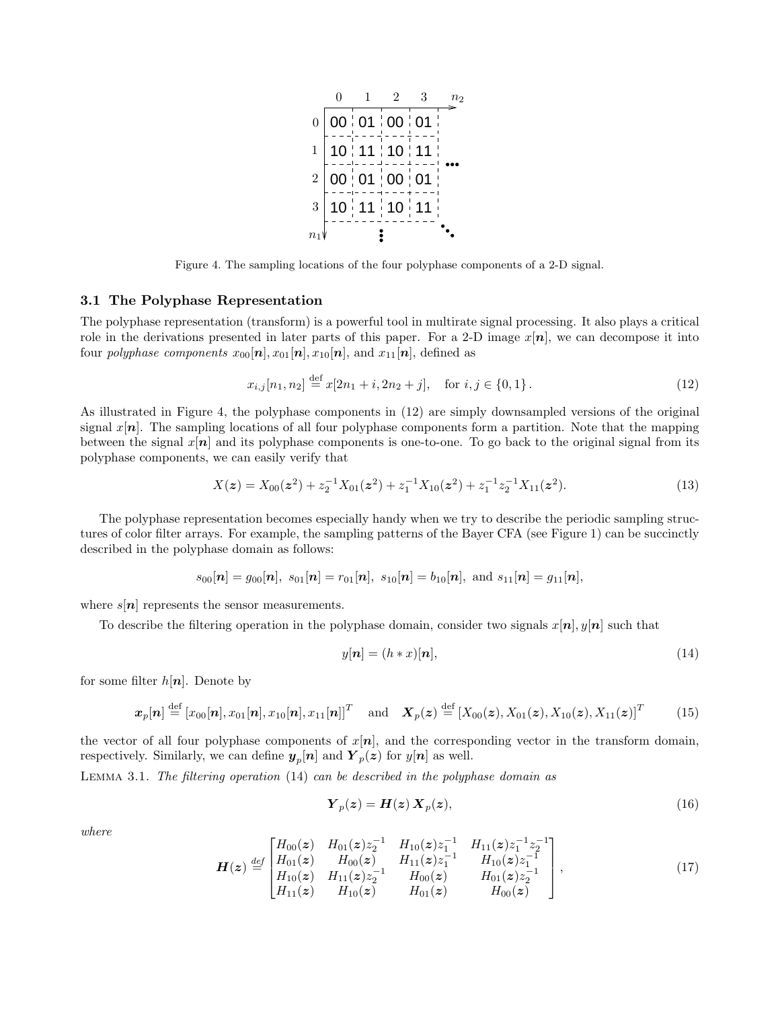

Figure 4. The sampling locations of the four polyphase components of a 2-D signal.

## 3.1 The Polyphase Representation

The polyphase representation (transform) is a powerful tool in multirate signal processing. It also plays a critical role in the derivations presented in later parts of this paper. For a 2-D image  $x[n]$ , we can decompose it into four *polyphase components*  $x_{00}[\boldsymbol{n}], x_{01}[\boldsymbol{n}], x_{10}[\boldsymbol{n}],$  and  $x_{11}[\boldsymbol{n}],$  defined as

$$
x_{i,j}[n_1, n_2] \stackrel{\text{def}}{=} x[2n_1 + i, 2n_2 + j], \quad \text{for } i, j \in \{0, 1\}.
$$
 (12)

As illustrated in Figure 4, the polyphase components in (12) are simply downsampled versions of the original signal  $x[n]$ . The sampling locations of all four polyphase components form a partition. Note that the mapping between the signal  $x[n]$  and its polyphase components is one-to-one. To go back to the original signal from its polyphase components, we can easily verify that

$$
X(z) = X_{00}(z^2) + z_2^{-1}X_{01}(z^2) + z_1^{-1}X_{10}(z^2) + z_1^{-1}z_2^{-1}X_{11}(z^2).
$$
\n(13)

The polyphase representation becomes especially handy when we try to describe the periodic sampling structures of color filter arrays. For example, the sampling patterns of the Bayer CFA (see Figure 1) can be succinctly described in the polyphase domain as follows:

$$
s_{00}[\boldsymbol{n}]=g_{00}[\boldsymbol{n}],\,\, s_{01}[\boldsymbol{n}]=r_{01}[\boldsymbol{n}],\,\, s_{10}[\boldsymbol{n}]=b_{10}[\boldsymbol{n}],\,\, \text{and}\,\, s_{11}[\boldsymbol{n}]=g_{11}[\boldsymbol{n}],
$$

where  $s[n]$  represents the sensor measurements.

To describe the filtering operation in the polyphase domain, consider two signals  $x[n], y[n]$  such that

$$
y[\boldsymbol{n}] = (h * x)[\boldsymbol{n}],\tag{14}
$$

for some filter  $h[n]$ . Denote by

$$
\boldsymbol{x}_p[n] \stackrel{\text{def}}{=} [x_{00}[n], x_{01}[n], x_{10}[n], x_{11}[n]]^T \quad \text{and} \quad \boldsymbol{X}_p(\boldsymbol{z}) \stackrel{\text{def}}{=} [X_{00}(\boldsymbol{z}), X_{01}(\boldsymbol{z}), X_{10}(\boldsymbol{z}), X_{11}(\boldsymbol{z})]^T \tag{15}
$$

the vector of all four polyphase components of  $x[n]$ , and the corresponding vector in the transform domain, respectively. Similarly, we can define  $y_p[n]$  and  $Y_p(z)$  for  $y[n]$  as well.

Lemma 3.1. *The filtering operation* (14) *can be described in the polyphase domain as*

$$
\boldsymbol{Y}_p(\boldsymbol{z}) = \boldsymbol{H}(\boldsymbol{z}) \, \boldsymbol{X}_p(\boldsymbol{z}),\tag{16}
$$

*where*

$$
\boldsymbol{H}(\boldsymbol{z}) \stackrel{def}{=} \begin{bmatrix} H_{00}(\boldsymbol{z}) & H_{01}(\boldsymbol{z}) z_2^{-1} & H_{10}(\boldsymbol{z}) z_1^{-1} & H_{11}(\boldsymbol{z}) z_1^{-1} z_2^{-1} \\ H_{01}(\boldsymbol{z}) & H_{00}(\boldsymbol{z}) & H_{11}(\boldsymbol{z}) z_1^{-1} & H_{10}(\boldsymbol{z}) z_1^{-1} \\ H_{10}(\boldsymbol{z}) & H_{11}(\boldsymbol{z}) z_2^{-1} & H_{00}(\boldsymbol{z}) & H_{01}(\boldsymbol{z}) z_2^{-1} \\ H_{11}(\boldsymbol{z}) & H_{10}(\boldsymbol{z}) & H_{01}(\boldsymbol{z}) & H_{00}(\boldsymbol{z}) \end{bmatrix}, \tag{17}
$$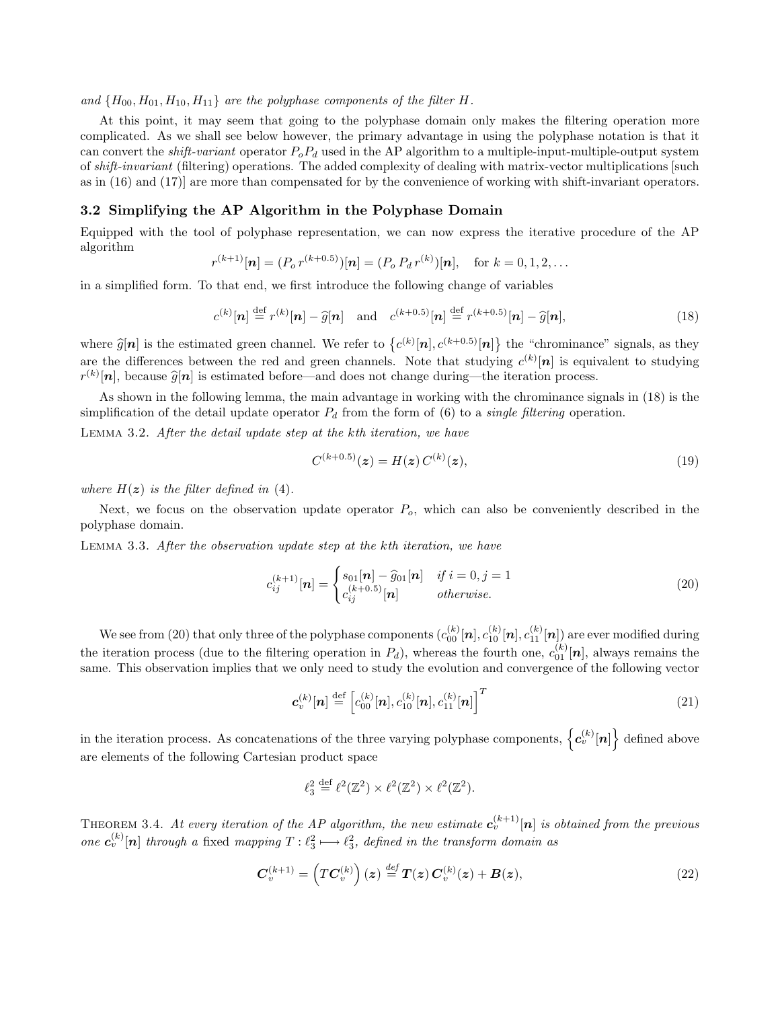and  ${H_{00}, H_{01}, H_{10}, H_{11}}$  *are the polyphase components of the filter H.* 

At this point, it may seem that going to the polyphase domain only makes the filtering operation more complicated. As we shall see below however, the primary advantage in using the polyphase notation is that it can convert the *shift-variant* operator  $P_oP_d$  used in the AP algorithm to a multiple-input-multiple-output system of *shift-invariant* (filtering) operations. The added complexity of dealing with matrix-vector multiplications [such as in (16) and (17)] are more than compensated for by the convenience of working with shift-invariant operators.

# 3.2 Simplifying the AP Algorithm in the Polyphase Domain

Equipped with the tool of polyphase representation, we can now express the iterative procedure of the AP algorithm

$$
r^{(k+1)}[n] = (P_o r^{(k+0.5)})[n] = (P_o P_d r^{(k)})[n], \text{ for } k = 0, 1, 2, ...
$$

in a simplified form. To that end, we first introduce the following change of variables

$$
c^{(k)}[\boldsymbol{n}] \stackrel{\text{def}}{=} r^{(k)}[\boldsymbol{n}] - \widehat{g}[\boldsymbol{n}] \quad \text{and} \quad c^{(k+0.5)}[\boldsymbol{n}] \stackrel{\text{def}}{=} r^{(k+0.5)}[\boldsymbol{n}] - \widehat{g}[\boldsymbol{n}], \tag{18}
$$

where  $\hat{g}[n]$  is the estimated green channel. We refer to  $\{c^{(k)}[n], c^{(k+0.5)}[n]\}$  the "chrominance" signals, as they are the differences between the red and green channels. Note that studying  $c^{(k)}[\boldsymbol{n}]$  is equivalent to studying  $r^{(k)}[n]$ , because  $\widehat{g}[n]$  is estimated before—and does not change during—the iteration process.

As shown in the following lemma, the main advantage in working with the chrominance signals in (18) is the simplification of the detail update operator  $P_d$  from the form of (6) to a *single filtering* operation.

Lemma 3.2. *After the detail update step at the* k*th iteration, we have*

$$
C^{(k+0.5)}(z) = H(z) C^{(k)}(z), \tag{19}
$$

*where*  $H(z)$  *is the filter defined in* (4).

Next, we focus on the observation update operator  $P<sub>o</sub>$ , which can also be conveniently described in the polyphase domain.

Lemma 3.3. *After the observation update step at the* k*th iteration, we have*

$$
c_{ij}^{(k+1)}[n] = \begin{cases} s_{01}[n] - \hat{g}_{01}[n] & if i = 0, j = 1\\ c_{ij}^{(k+0.5)}[n] & otherwise. \end{cases}
$$
(20)

We see from (20) that only three of the polyphase components  $(c_{00}^{(k)}[n], c_{10}^{(k)}[n], c_{11}^{(k)}[n])$  are ever modified during the iteration process (due to the filtering operation in  $P_d$ ), whereas the fourth one,  $c_{01}^{(k)}[\boldsymbol{n}]$ , always remains the same. This observation implies that we only need to study the evolution and convergence of the following vector

$$
\mathbf{c}_{v}^{(k)}[\mathbf{n}] \stackrel{\text{def}}{=} \left[c_{00}^{(k)}[\mathbf{n}], c_{10}^{(k)}[\mathbf{n}], c_{11}^{(k)}[\mathbf{n}]\right]^{T}
$$
(21)

in the iteration process. As concatenations of the three varying polyphase components,  $\{c_v^{(k)}[n]\}$  defined above are elements of the following Cartesian product space

$$
\ell_3^2 \stackrel{\text{def}}{=} \ell^2(\mathbb{Z}^2) \times \ell^2(\mathbb{Z}^2) \times \ell^2(\mathbb{Z}^2).
$$

THEOREM 3.4. *At every iteration of the AP algorithm, the new estimate*  $c_v^{(k+1)}[n]$  *is obtained from the previous one*  $c_v^{(k)}[n]$  *through a* fixed *mapping*  $T: \ell_3^2 \longmapsto \ell_3^2$ , *defined in the transform domain as* 

$$
C_v^{(k+1)} = \left( TC_v^{(k)} \right) (z) \stackrel{def}{=} T(z) C_v^{(k)}(z) + B(z), \tag{22}
$$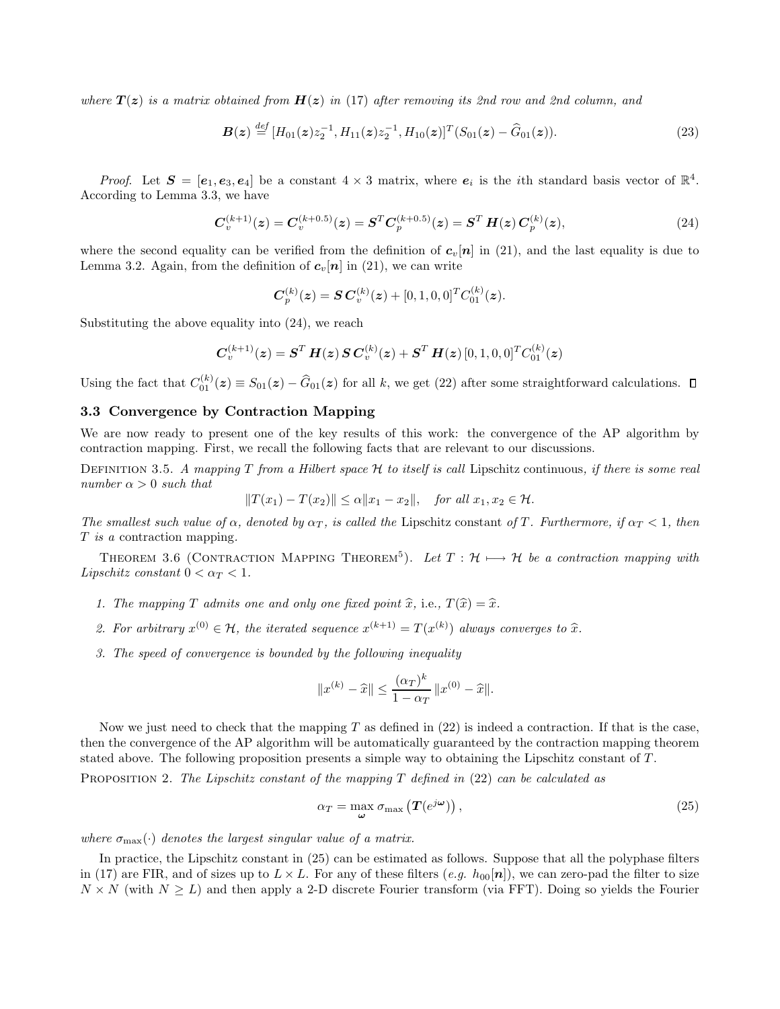*where*  $T(z)$  *is a matrix obtained from*  $H(z)$  *in* (17) *after removing its 2nd row and 2nd column, and* 

$$
\boldsymbol{B}(\boldsymbol{z}) \stackrel{\text{def}}{=} [H_{01}(\boldsymbol{z})z_2^{-1}, H_{11}(\boldsymbol{z})z_2^{-1}, H_{10}(\boldsymbol{z})]^T (S_{01}(\boldsymbol{z}) - \widehat{G}_{01}(\boldsymbol{z})). \tag{23}
$$

*Proof.* Let  $S = [e_1, e_3, e_4]$  be a constant  $4 \times 3$  matrix, where  $e_i$  is the *i*th standard basis vector of  $\mathbb{R}^4$ . According to Lemma 3.3, we have

$$
C_v^{(k+1)}(z) = C_v^{(k+0.5)}(z) = S^T C_p^{(k+0.5)}(z) = S^T H(z) C_p^{(k)}(z),
$$
\n(24)

where the second equality can be verified from the definition of  $c_v[n]$  in (21), and the last equality is due to Lemma 3.2. Again, from the definition of  $c_v[n]$  in (21), we can write

$$
\boldsymbol{C}_{p}^{(k)}(\boldsymbol{z}) = \boldsymbol{S} \boldsymbol{C}_{v}^{(k)}(\boldsymbol{z}) + [0, 1, 0, 0]^T \boldsymbol{C}_{01}^{(k)}(\boldsymbol{z}).
$$

Substituting the above equality into (24), we reach

$$
\boldsymbol{C}^{(k+1)}_{v}(\boldsymbol{z}) = \boldsymbol{S}^{T} \, \boldsymbol{H}(\boldsymbol{z}) \, \boldsymbol{S} \, \boldsymbol{C}^{(k)}_{v}(\boldsymbol{z}) + \boldsymbol{S}^{T} \, \boldsymbol{H}(\boldsymbol{z}) \, [0,1,0,0]^{T} \boldsymbol{C}_{01}^{(k)}(\boldsymbol{z})
$$

Using the fact that  $C_{01}^{(k)}(z) \equiv S_{01}(z) - \hat{G}_{01}(z)$  for all k, we get (22) after some straightforward calculations.

## 3.3 Convergence by Contraction Mapping

We are now ready to present one of the key results of this work: the convergence of the AP algorithm by contraction mapping. First, we recall the following facts that are relevant to our discussions.

Definition 3.5. *A mapping* T *from a Hilbert space* H *to itself is call* Lipschitz continuous*, if there is some real number*  $\alpha > 0$  *such that* 

$$
||T(x_1) - T(x_2)|| \le \alpha ||x_1 - x_2||, \text{ for all } x_1, x_2 \in \mathcal{H}.
$$

*The smallest such value of*  $\alpha$ *, denoted by*  $\alpha_T$ *, is called the Lipschitz constant of* T. Furthermore, if  $\alpha_T < 1$ *, then* T *is a* contraction mapping*.*

THEOREM 3.6 (CONTRACTION MAPPING THEOREM<sup>5</sup>). Let  $T: \mathcal{H} \longmapsto \mathcal{H}$  be a contraction mapping with *Lipschitz constant*  $0 < \alpha_T < 1$ *.* 

- *1. The mapping*  $T$  *admits one and only one fixed point*  $\hat{x}$ *,* i.e.,  $T(\hat{x}) = \hat{x}$ *.*
- 2. For arbitrary  $x^{(0)} \in \mathcal{H}$ , the iterated sequence  $x^{(k+1)} = T(x^{(k)})$  always converges to  $\hat{x}$ .
- *3. The speed of convergence is bounded by the following inequality*

$$
||x^{(k)} - \widehat{x}|| \le \frac{(\alpha_T)^k}{1 - \alpha_T} ||x^{(0)} - \widehat{x}||.
$$

Now we just need to check that the mapping  $T$  as defined in  $(22)$  is indeed a contraction. If that is the case, then the convergence of the AP algorithm will be automatically guaranteed by the contraction mapping theorem stated above. The following proposition presents a simple way to obtaining the Lipschitz constant of  $T$ .

Proposition 2. *The Lipschitz constant of the mapping* T *defined in* (22) *can be calculated as*

$$
\alpha_T = \max_{\omega} \sigma_{\max} \left( T(e^{j\omega}) \right), \tag{25}
$$

*where*  $\sigma_{\text{max}}(\cdot)$  *denotes the largest singular value of a matrix.* 

In practice, the Lipschitz constant in (25) can be estimated as follows. Suppose that all the polyphase filters in (17) are FIR, and of sizes up to  $L \times L$ . For any of these filters  $(e.g. h_{00}[\boldsymbol{n}])$ , we can zero-pad the filter to size  $N \times N$  (with  $N \geq L$ ) and then apply a 2-D discrete Fourier transform (via FFT). Doing so yields the Fourier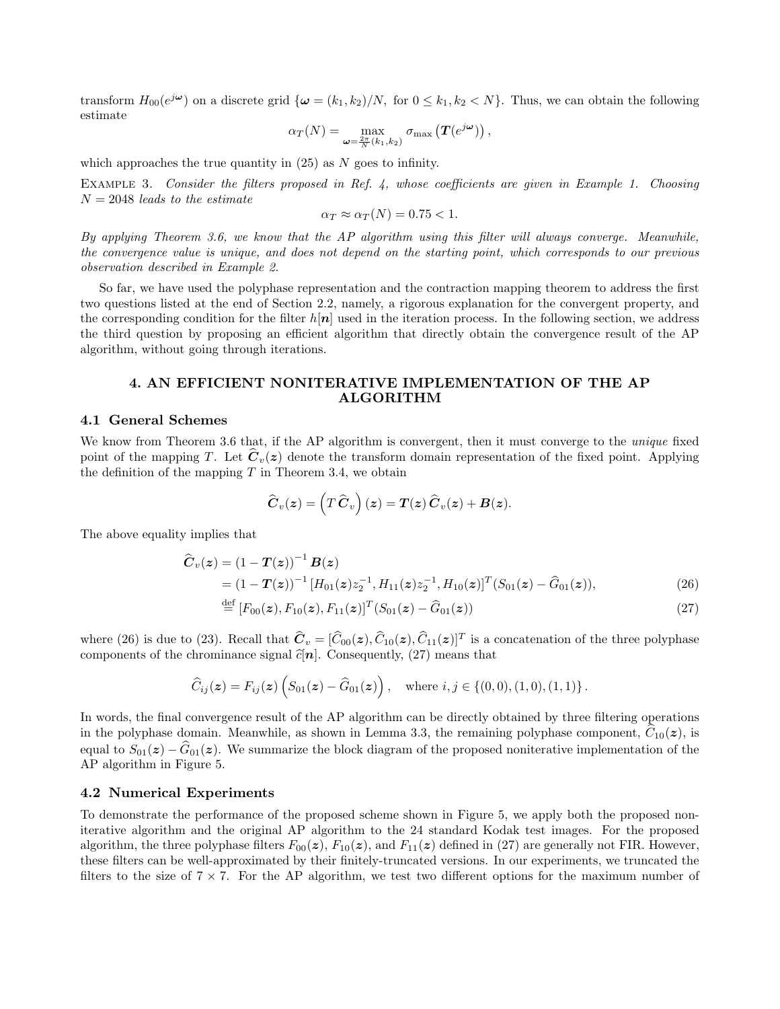transform  $H_{00}(e^{j\omega})$  on a discrete grid  $\{\omega = (k_1, k_2)/N$ , for  $0 \le k_1, k_2 < N\}$ . Thus, we can obtain the following estimate

$$
\alpha_T(N) = \max_{\omega = \frac{2\pi}{N}(k_1,k_2)} \sigma_{\max} \left( T(e^{j\omega}) \right),
$$

which approaches the true quantity in  $(25)$  as N goes to infinity.

Example 3. *Consider the filters proposed in Ref. 4, whose coefficients are given in Example 1. Choosing* N = 2048 *leads to the estimate*

$$
\alpha_T \approx \alpha_T(N) = 0.75 < 1.
$$

*By applying Theorem 3.6, we know that the AP algorithm using this filter will always converge. Meanwhile, the convergence value is unique, and does not depend on the starting point, which corresponds to our previous observation described in Example 2.*

So far, we have used the polyphase representation and the contraction mapping theorem to address the first two questions listed at the end of Section 2.2, namely, a rigorous explanation for the convergent property, and the corresponding condition for the filter  $h[n]$  used in the iteration process. In the following section, we address the third question by proposing an efficient algorithm that directly obtain the convergence result of the AP algorithm, without going through iterations.

## 4. AN EFFICIENT NONITERATIVE IMPLEMENTATION OF THE AP ALGORITHM

#### 4.1 General Schemes

We know from Theorem 3.6 that, if the AP algorithm is convergent, then it must converge to the *unique* fixed point of the mapping T. Let  $\mathbf{C}_v(z)$  denote the transform domain representation of the fixed point. Applying the definition of the mapping  $T$  in Theorem 3.4, we obtain

$$
\widehat{\boldsymbol{C}}_v(\boldsymbol{z}) = \left(\boldsymbol{T}\, \widehat{\boldsymbol{C}}_v\right)(\boldsymbol{z}) = \boldsymbol{T}(\boldsymbol{z})\, \widehat{\boldsymbol{C}}_v(\boldsymbol{z}) + \boldsymbol{B}(\boldsymbol{z}).
$$

The above equality implies that

$$
\begin{aligned} \widehat{\boldsymbol{C}}_{v}(z) &= \left(1 - \boldsymbol{T}(z)\right)^{-1} \boldsymbol{B}(z) \\ &= \left(1 - \boldsymbol{T}(z)\right)^{-1} \left[H_{01}(z) z_{2}^{-1}, H_{11}(z) z_{2}^{-1}, H_{10}(z)\right]^{T} (S_{01}(z) - \widehat{\boldsymbol{G}}_{01}(z)), \end{aligned} \tag{26}
$$

$$
\stackrel{\text{def}}{=} [F_{00}(z), F_{10}(z), F_{11}(z)]^T (S_{01}(z) - \widehat{G}_{01}(z))
$$
\n(27)

where (26) is due to (23). Recall that  $\hat{C}_v = [\hat{C}_{00}(z), \hat{C}_{10}(z), \hat{C}_{11}(z)]^T$  is a concatenation of the three polyphase components of the chrominance signal  $\hat{c}[n]$ . Consequently, (27) means that

$$
\widehat{C}_{ij}(z) = F_{ij}(z) \left( S_{01}(z) - \widehat{G}_{01}(z) \right), \quad \text{where } i, j \in \{ (0,0), (1,0), (1,1) \}.
$$

In words, the final convergence result of the AP algorithm can be directly obtained by three filtering operations in the polyphase domain. Meanwhile, as shown in Lemma 3.3, the remaining polyphase component,  $\tilde{C}_{10}(z)$ , is equal to  $S_{01}(z) - \widehat{G}_{01}(z)$ . We summarize the block diagram of the proposed noniterative implementation of the AP algorithm in Figure 5.

#### 4.2 Numerical Experiments

To demonstrate the performance of the proposed scheme shown in Figure 5, we apply both the proposed noniterative algorithm and the original AP algorithm to the 24 standard Kodak test images. For the proposed algorithm, the three polyphase filters  $F_{00}(z)$ ,  $F_{10}(z)$ , and  $F_{11}(z)$  defined in (27) are generally not FIR. However, these filters can be well-approximated by their finitely-truncated versions. In our experiments, we truncated the filters to the size of  $7 \times 7$ . For the AP algorithm, we test two different options for the maximum number of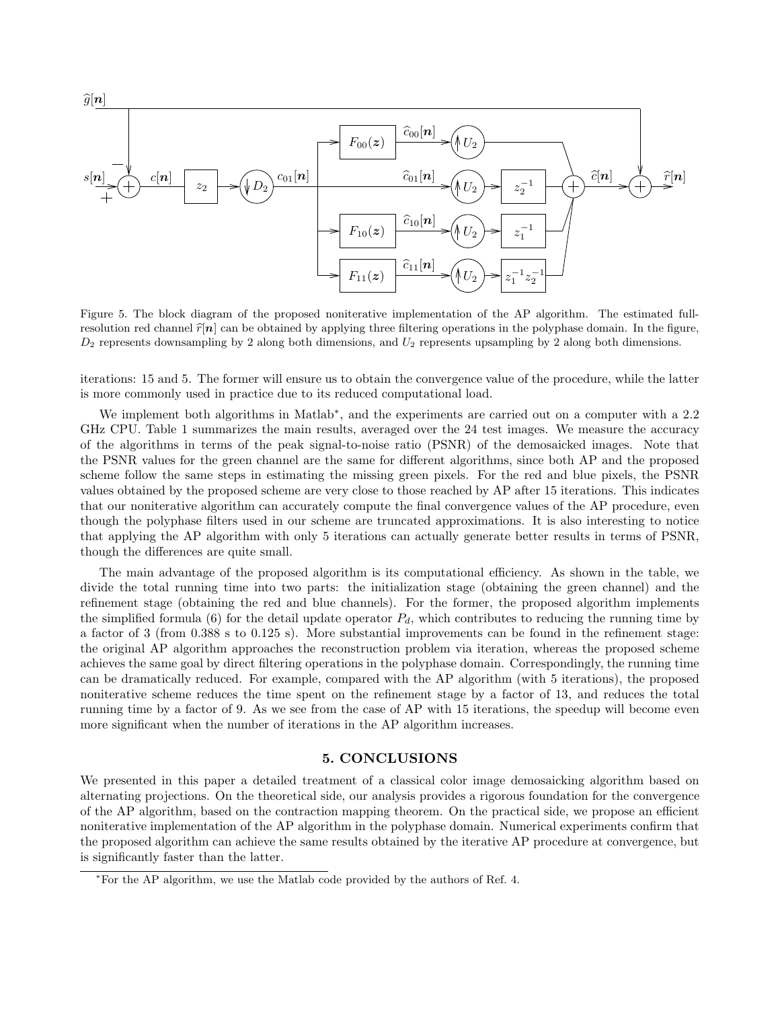

Figure 5. The block diagram of the proposed noniterative implementation of the AP algorithm. The estimated fullresolution red channel  $\hat{r}[n]$  can be obtained by applying three filtering operations in the polyphase domain. In the figure,  $D_2$  represents downsampling by 2 along both dimensions, and  $U_2$  represents upsampling by 2 along both dimensions.

iterations: 15 and 5. The former will ensure us to obtain the convergence value of the procedure, while the latter is more commonly used in practice due to its reduced computational load.

We implement both algorithms in Matlab<sup>\*</sup>, and the experiments are carried out on a computer with a 2.2 GHz CPU. Table 1 summarizes the main results, averaged over the 24 test images. We measure the accuracy of the algorithms in terms of the peak signal-to-noise ratio (PSNR) of the demosaicked images. Note that the PSNR values for the green channel are the same for different algorithms, since both AP and the proposed scheme follow the same steps in estimating the missing green pixels. For the red and blue pixels, the PSNR values obtained by the proposed scheme are very close to those reached by AP after 15 iterations. This indicates that our noniterative algorithm can accurately compute the final convergence values of the AP procedure, even though the polyphase filters used in our scheme are truncated approximations. It is also interesting to notice that applying the AP algorithm with only 5 iterations can actually generate better results in terms of PSNR, though the differences are quite small.

The main advantage of the proposed algorithm is its computational efficiency. As shown in the table, we divide the total running time into two parts: the initialization stage (obtaining the green channel) and the refinement stage (obtaining the red and blue channels). For the former, the proposed algorithm implements the simplified formula (6) for the detail update operator  $P_d$ , which contributes to reducing the running time by a factor of 3 (from 0.388 s to 0.125 s). More substantial improvements can be found in the refinement stage: the original AP algorithm approaches the reconstruction problem via iteration, whereas the proposed scheme achieves the same goal by direct filtering operations in the polyphase domain. Correspondingly, the running time can be dramatically reduced. For example, compared with the AP algorithm (with 5 iterations), the proposed noniterative scheme reduces the time spent on the refinement stage by a factor of 13, and reduces the total running time by a factor of 9. As we see from the case of AP with 15 iterations, the speedup will become even more significant when the number of iterations in the AP algorithm increases.

# 5. CONCLUSIONS

We presented in this paper a detailed treatment of a classical color image demosaicking algorithm based on alternating projections. On the theoretical side, our analysis provides a rigorous foundation for the convergence of the AP algorithm, based on the contraction mapping theorem. On the practical side, we propose an efficient noniterative implementation of the AP algorithm in the polyphase domain. Numerical experiments confirm that the proposed algorithm can achieve the same results obtained by the iterative AP procedure at convergence, but is significantly faster than the latter.

<sup>∗</sup>For the AP algorithm, we use the Matlab code provided by the authors of Ref. 4.